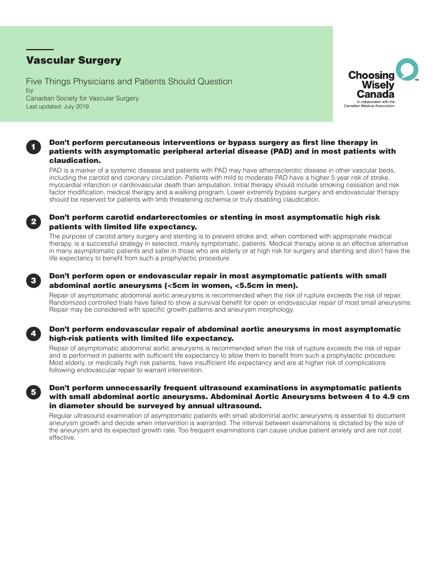# Vascular Surgery

Five Things Physicians and Patients Should Question by Canadian Society for Vascular Surgery Last updated: July 2019



# Don't perform percutaneous interventions or bypass surgery as first line therapy in patients with asymptomatic peripheral arterial disease (PAD) and in most patients with claudication.

PAD is a marker of a systemic disease and patients with PAD may have atherosclerotic disease in other vascular beds, including the carotid and coronary circulation. Patients with mild to moderate PAD have a higher 5 year risk of stroke, myocardial infarction or cardiovascular death than amputation. Initial therapy should include smoking cessation and risk factor modification, medical therapy and a walking program. Lower extremity bypass surgery and endovascular therapy should be reserved for patients with limb threatening ischemia or truly disabling claudication.

# Don't perform carotid endarterectomies or stenting in most asymptomatic high risk patients with limited life expectancy.

The purpose of carotid artery surgery and stenting is to prevent stroke and, when combined with appropriate medical therapy, is a successful strategy in selected, mainly symptomatic, patients. Medical therapy alone is an effective alternative in many asymptomatic patients and safer in those who are elderly or at high risk for surgery and stenting and don't have the life expectancy to benefit from such a prophylactic procedure.



4

5

2

1

#### Don't perform open or endovascular repair in most asymptomatic patients with small abdominal aortic aneurysms (<5cm in women, <5.5cm in men).

Repair of asymptomatic abdominal aortic aneurysms is recommended when the risk of rupture exceeds the risk of repair. Randomized controlled trials have failed to show a survival benefit for open or endovascular repair of most small aneurysms. Repair may be considered with specific growth patterns and aneurysm morphology.

# Don't perform endovascular repair of abdominal aortic aneurysms in most asymptomatic high-risk patients with limited life expectancy.

Repair of asymptomatic abdominal aortic aneurysms is recommended when the risk of rupture exceeds the risk of repair and is performed in patients with sufficient life expectancy to allow them to benefit from such a prophylactic procedure. Most elderly, or medically high risk patients, have insufficient life expectancy and are at higher risk of complications following endovascular repair to warrant intervention.

### Don't perform unnecessarily frequent ultrasound examinations in asymptomatic patients with small abdominal aortic aneurysms. Abdominal Aortic Aneurysms between 4 to 4.9 cm in diameter should be surveyed by annual ultrasound.

Regular ultrasound examination of asymptomatic patients with small abdominal aortic aneurysms is essential to document aneurysm growth and decide when intervention is warranted. The interval between examinations is dictated by the size of the aneurysm and its expected growth rate. Too frequent examinations can cause undue patient anxiety and are not cost effective.